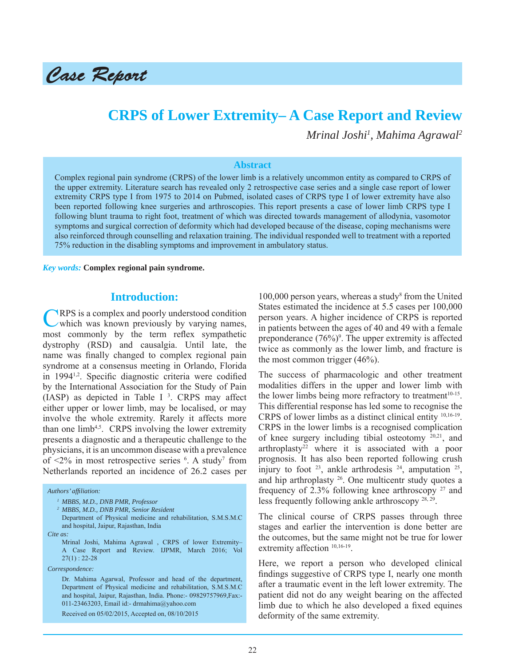

# **CRPS of Lower Extremity– A Case Report and Review**

*Mrinal Joshi1 , Mahima Agrawal2*

#### **Abstract**

Complex regional pain syndrome (CRPS) of the lower limb is a relatively uncommon entity as compared to CRPS of the upper extremity. Literature search has revealed only 2 retrospective case series and a single case report of lower extremity CRPS type I from 1975 to 2014 on Pubmed, isolated cases of CRPS type I of lower extremity have also been reported following knee surgeries and arthroscopies. This report presents a case of lower limb CRPS type I following blunt trauma to right foot, treatment of which was directed towards management of allodynia, vasomotor symptoms and surgical correction of deformity which had developed because of the disease, coping mechanisms were also reinforced through counselling and relaxation training. The individual responded well to treatment with a reported 75% reduction in the disabling symptoms and improvement in ambulatory status.

*Key words:* **Complex regional pain syndrome.**

### **Introduction:**

CRPS is a complex and poorly understood condition which was known previously by varying names, most commonly by the term reflex sympathetic dystrophy (RSD) and causalgia. Until late, the name was finally changed to complex regional pain syndrome at a consensus meeting in Orlando, Florida in 1994<sup>1,2</sup>. Specific diagnostic criteria were codified by the International Association for the Study of Pain (IASP) as depicted in Table I  $3$ . CRPS may affect either upper or lower limb, may be localised, or may involve the whole extremity. Rarely it affects more than one  $limb<sup>4,5</sup>$ . CRPS involving the lower extremity presents a diagnostic and a therapeutic challenge to the physicians, it is an uncommon disease with a prevalence of  $\leq 2\%$  in most retrospective series  $\degree$ . A study<sup>7</sup> from Netherlands reported an incidence of 26.2 cases per

*Authors' affi liation: 1 MBBS, M.D., DNB PMR, Professor 2 MBBS, M.D., DNB PMR, Senior Resident* Department of Physical medicine and rehabilitation, S.M.S.M.C and hospital, Jaipur, Rajasthan, India *Cite as:* Mrinal Joshi, Mahima Agrawal , CRPS of lower Extremity– A Case Report and Review. IJPMR, March 2016; Vol 27(1) : 22-28 *Correspondence:* Dr. Mahima Agarwal, Professor and head of the department, Department of Physical medicine and rehabilitation, S.M.S.M.C and hospital, Jaipur, Rajasthan, India. Phone:- 09829757969,Fax:- 011-23463203, Email id:- drmahima@yahoo.com Received on 05/02/2015, Accepted on, 08/10/2015

100,000 person years, whereas a study<sup>8</sup> from the United States estimated the incidence at 5.5 cases per 100,000 person years. A higher incidence of CRPS is reported in patients between the ages of 40 and 49 with a female preponderance  $(76\%)$ <sup>9</sup>. The upper extremity is affected twice as commonly as the lower limb, and fracture is the most common trigger (46%).

The success of pharmacologic and other treatment modalities differs in the upper and lower limb with the lower limbs being more refractory to treatment<sup>10-15</sup>. This differential response has led some to recognise the CRPS of lower limbs as a distinct clinical entity 10,16-19. CRPS in the lower limbs is a recognised complication of knee surgery including tibial osteotomy 20,21, and arthroplasty<sup>22</sup> where it is associated with a poor prognosis. It has also been reported following crush injury to foot  $23$ , ankle arthrodesis  $24$ , amputation  $25$ , and hip arthroplasty 26. One multicentr study quotes a frequency of 2.3% following knee arthroscopy  $27$  and less frequently following ankle arthroscopy 28, 29.

The clinical course of CRPS passes through three stages and earlier the intervention is done better are the outcomes, but the same might not be true for lower extremity affection  $10,16-19$ .

Here, we report a person who developed clinical findings suggestive of CRPS type I, nearly one month after a traumatic event in the left lower extremity. The patient did not do any weight bearing on the affected limb due to which he also developed a fixed equines deformity of the same extremity.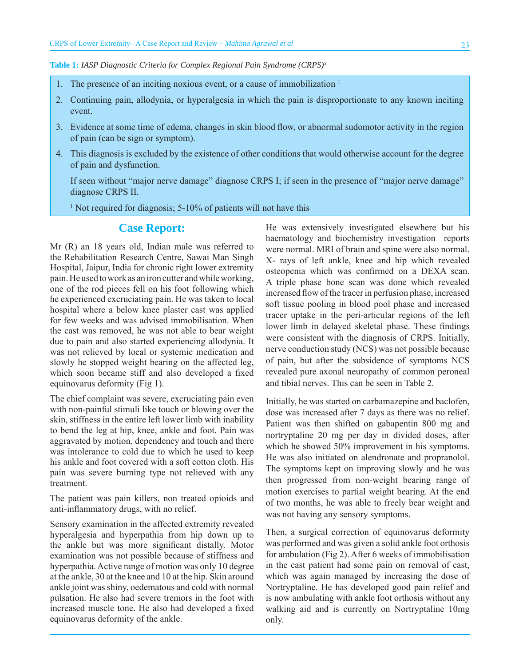**Table 1:** *IASP Diagnostic Criteria for Complex Regional Pain Syndrome (CRPS)3*

- 1. The presence of an inciting noxious event, or a cause of immobilization  $1$
- 2. Continuing pain, allodynia, or hyperalgesia in which the pain is disproportionate to any known inciting event.
- 3. Evidence at some time of edema, changes in skin blood flow, or abnormal sudomotor activity in the region of pain (can be sign or symptom).
- 4. This diagnosis is excluded by the existence of other conditions that would otherwise account for the degree of pain and dysfunction.

If seen without "major nerve damage" diagnose CRPS I; if seen in the presence of "major nerve damage" diagnose CRPS II.

<sup>1</sup> Not required for diagnosis; 5-10% of patients will not have this

# **Case Report:**

Mr (R) an 18 years old, Indian male was referred to the Rehabilitation Research Centre, Sawai Man Singh Hospital, Jaipur, India for chronic right lower extremity pain. He used to work as an iron cutter and while working, one of the rod pieces fell on his foot following which he experienced excruciating pain. He was taken to local hospital where a below knee plaster cast was applied for few weeks and was advised immobilisation. When the cast was removed, he was not able to bear weight due to pain and also started experiencing allodynia. It was not relieved by local or systemic medication and slowly he stopped weight bearing on the affected leg, which soon became stiff and also developed a fixed equinovarus deformity (Fig 1).

The chief complaint was severe, excruciating pain even with non-painful stimuli like touch or blowing over the skin, stiffness in the entire left lower limb with inability to bend the leg at hip, knee, ankle and foot. Pain was aggravated by motion, dependency and touch and there was intolerance to cold due to which he used to keep his ankle and foot covered with a soft cotton cloth. His pain was severe burning type not relieved with any treatment.

The patient was pain killers, non treated opioids and anti-inflammatory drugs, with no relief.

Sensory examination in the affected extremity revealed hyperalgesia and hyperpathia from hip down up to the ankle but was more significant distally. Motor examination was not possible because of stiffness and hyperpathia. Active range of motion was only 10 degree at the ankle, 30 at the knee and 10 at the hip. Skin around ankle joint was shiny, oedematous and cold with normal pulsation. He also had severe tremors in the foot with increased muscle tone. He also had developed a fixed equinovarus deformity of the ankle.

He was extensively investigated elsewhere but his haematology and biochemistry investigation reports were normal. MRI of brain and spine were also normal. X- rays of left ankle, knee and hip which revealed osteopenia which was confirmed on a DEXA scan. A triple phase bone scan was done which revealed increased flow of the tracer in perfusion phase, increased soft tissue pooling in blood pool phase and increased tracer uptake in the peri-articular regions of the left lower limb in delayed skeletal phase. These findings were consistent with the diagnosis of CRPS. Initially, nerve conduction study (NCS) was not possible because of pain, but after the subsidence of symptoms NCS revealed pure axonal neuropathy of common peroneal and tibial nerves. This can be seen in Table 2.

Initially, he was started on carbamazepine and baclofen, dose was increased after 7 days as there was no relief. Patient was then shifted on gabapentin 800 mg and nortryptaline 20 mg per day in divided doses, after which he showed 50% improvement in his symptoms. He was also initiated on alendronate and propranolol. The symptoms kept on improving slowly and he was then progressed from non-weight bearing range of motion exercises to partial weight bearing. At the end of two months, he was able to freely bear weight and was not having any sensory symptoms.

Then, a surgical correction of equinovarus deformity was performed and was given a solid ankle foot orthosis for ambulation (Fig 2). After 6 weeks of immobilisation in the cast patient had some pain on removal of cast, which was again managed by increasing the dose of Nortryptaline. He has developed good pain relief and is now ambulating with ankle foot orthosis without any walking aid and is currently on Nortryptaline 10mg only.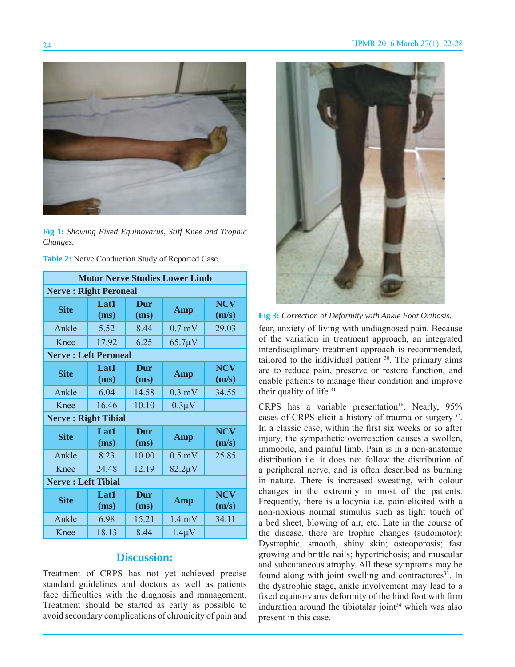

**Fig 1:** *Showing Fixed Equinovarus, Stiff Knee and Trophic Changes.* 

| Table 2: Nerve Conduction Study of Reported Case. |  |
|---------------------------------------------------|--|
|---------------------------------------------------|--|

| <b>Motor Nerve Studies Lower Limb</b> |              |             |                  |                     |
|---------------------------------------|--------------|-------------|------------------|---------------------|
| <b>Nerve: Right Peroneal</b>          |              |             |                  |                     |
| <b>Site</b>                           | Lat1<br>(ms) | Dur<br>(ms) | Amp              | <b>NCV</b><br>(m/s) |
| Ankle                                 | 5.52         | 8.44        | $0.7$ mV         | 29.03               |
| Knee                                  | 17.92        | 6.25        | $65.7 \mu V$     |                     |
| <b>Nerve: Left Peroneal</b>           |              |             |                  |                     |
| <b>Site</b>                           | Lat1<br>(ms) | Dur<br>(ms) | <b>Amp</b>       | <b>NCV</b><br>(m/s) |
| Ankle                                 | 6.04         | 14.58       | $0.3$ mV         | 34.55               |
| Knee                                  | 16.46        | 10.10       | $0.3\mu$ V       |                     |
| <b>Nerve: Right Tibial</b>            |              |             |                  |                     |
| <b>Site</b>                           | Lat1<br>(ms) | Dur<br>(ms) | <b>Amp</b>       | <b>NCV</b><br>(m/s) |
| Ankle                                 | 8.23         | 10.00       | $0.5$ mV         | 25.85               |
| Knee                                  | 24.48        | 12.19       | $82.2 \mu V$     |                     |
| <b>Nerve: Left Tibial</b>             |              |             |                  |                     |
| <b>Site</b>                           | Lat1<br>(ms) | Dur<br>(ms) | Amp              | <b>NCV</b><br>(m/s) |
| Ankle                                 | 6.98         | 15.21       | $1.4 \text{ mV}$ | 34.11               |
| Knee                                  | 18.13        | 8.44        | $1.4\mu$ V       |                     |

# **Discussion:**

Treatment of CRPS has not yet achieved precise standard guidelines and doctors as well as patients face difficulties with the diagnosis and management. Treatment should be started as early as possible to avoid secondary complications of chronicity of pain and



**Fig 3:** *Correction of Deformity with Ankle Foot Orthosis.*

fear, anxiety of living with undiagnosed pain. Because of the variation in treatment approach, an integrated interdisciplinary treatment approach is recommended, tailored to the individual patient <sup>30</sup>. The primary aims are to reduce pain, preserve or restore function, and enable patients to manage their condition and improve their quality of life 31.

CRPS has a variable presentation<sup>18</sup>. Nearly,  $95\%$ cases of CRPS elicit a history of trauma or surgery 32. In a classic case, within the first six weeks or so after injury, the sympathetic overreaction causes a swollen, immobile, and painful limb. Pain is in a non-anatomic distribution i.e. it does not follow the distribution of a peripheral nerve, and is often described as burning in nature. There is increased sweating, with colour changes in the extremity in most of the patients. Frequently, there is allodynia i.e. pain elicited with a non-noxious normal stimulus such as light touch of a bed sheet, blowing of air, etc. Late in the course of the disease, there are trophic changes (sudomotor): Dystrophic, smooth, shiny skin; osteoporosis; fast growing and brittle nails; hypertrichosis; and muscular and subcutaneous atrophy. All these symptoms may be found along with joint swelling and contractures<sup>33</sup>. In the dystrophic stage, ankle involvement may lead to a fixed equino-varus deformity of the hind foot with firm induration around the tibiotalar joint $34$  which was also present in this case.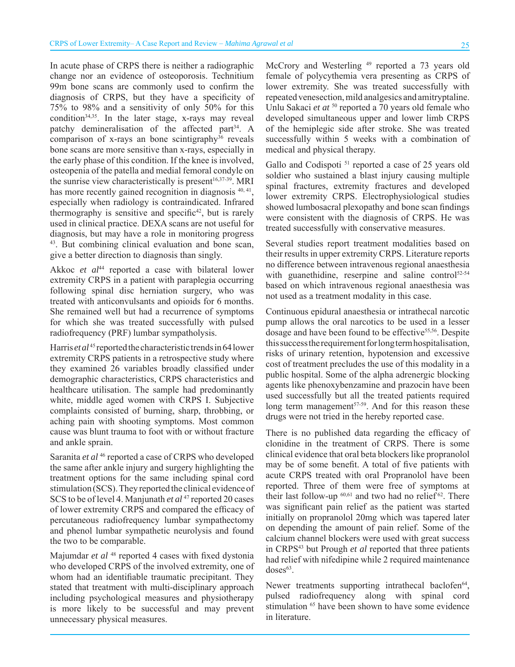In acute phase of CRPS there is neither a radiographic change nor an evidence of osteoporosis. Technitium 99m bone scans are commonly used to confirm the diagnosis of CRPS, but they have a specificity of 75% to 98% and a sensitivity of only 50% for this condition<sup>34,35</sup>. In the later stage, x-rays may reveal patchy demineralisation of the affected part<sup>34</sup>. A comparison of x-rays an bone scintigraphy $36$  reveals bone scans are more sensitive than x-rays, especially in the early phase of this condition. If the knee is involved, osteopenia of the patella and medial femoral condyle on the sunrise view characteristically is present<sup>16,37-39</sup>. MRI has more recently gained recognition in diagnosis  $40, 41$ , especially when radiology is contraindicated. Infrared thermography is sensitive and specific<sup>42</sup>, but is rarely used in clinical practice. DEXA scans are not useful for diagnosis, but may have a role in monitoring progress 43. But combining clinical evaluation and bone scan, give a better direction to diagnosis than singly.

Akkoc et al<sup>44</sup> reported a case with bilateral lower extremity CRPS in a patient with paraplegia occurring following spinal disc herniation surgery, who was treated with anticonvulsants and opioids for 6 months. She remained well but had a recurrence of symptoms for which she was treated successfully with pulsed radiofrequency (PRF) lumbar sympatholysis.

Harris *et al*<sup>45</sup> reported the characteristic trends in 64 lower extremity CRPS patients in a retrospective study where they examined 26 variables broadly classified under demographic characteristics, CRPS characteristics and healthcare utilisation. The sample had predominantly white, middle aged women with CRPS I. Subjective complaints consisted of burning, sharp, throbbing, or aching pain with shooting symptoms. Most common cause was blunt trauma to foot with or without fracture and ankle sprain.

Saranita *et al* <sup>46</sup> reported a case of CRPS who developed the same after ankle injury and surgery highlighting the treatment options for the same including spinal cord stimulation (SCS). They reported the clinical evidence of SCS to be of level 4. Manjunath *et al* <sup>47</sup> reported 20 cases of lower extremity CRPS and compared the efficacy of percutaneous radiofrequency lumbar sympathectomy and phenol lumbar sympathetic neurolysis and found the two to be comparable.

Majumdar et al <sup>48</sup> reported 4 cases with fixed dystonia who developed CRPS of the involved extremity, one of whom had an identifiable traumatic precipitant. They stated that treatment with multi-disciplinary approach including psychological measures and physiotherapy is more likely to be successful and may prevent unnecessary physical measures.

McCrory and Westerling <sup>49</sup> reported a 73 years old female of polycythemia vera presenting as CRPS of lower extremity. She was treated successfully with repeated venesection, mild analgesics and amitryptaline. Unlu Sakaci *et at* 50 reported a 70 years old female who developed simultaneous upper and lower limb CRPS of the hemiplegic side after stroke. She was treated successfully within 5 weeks with a combination of medical and physical therapy.

Gallo and Codispoti<sup>51</sup> reported a case of 25 years old soldier who sustained a blast injury causing multiple spinal fractures, extremity fractures and developed lower extremity CRPS. Electrophysiological studies showed lumbosacral plexopathy and bone scan findings were consistent with the diagnosis of CRPS. He was treated successfully with conservative measures.

Several studies report treatment modalities based on their results in upper extremity CRPS. Literature reports no difference between intravenous regional anaesthesia with guanethidine, reserpine and saline control<sup>52-54</sup> based on which intravenous regional anaesthesia was not used as a treatment modality in this case.

Continuous epidural anaesthesia or intrathecal narcotic pump allows the oral narcotics to be used in a lesser dosage and have been found to be effective<sup>55,56</sup>. Despite this success the requirement for long term hospitalisation, risks of urinary retention, hypotension and excessive cost of treatment precludes the use of this modality in a public hospital. Some of the alpha adrenergic blocking agents like phenoxybenzamine and prazocin have been used successfully but all the treated patients required long term management<sup>57-59</sup>. And for this reason these drugs were not tried in the hereby reported case.

There is no published data regarding the efficacy of clonidine in the treatment of CRPS. There is some clinical evidence that oral beta blockers like propranolol may be of some benefit. A total of five patients with acute CRPS treated with oral Propranolol have been reported. Three of them were free of symptoms at their last follow-up  $60,61$  and two had no relief  $62$ . There was significant pain relief as the patient was started initially on propranolol 20mg which was tapered later on depending the amount of pain relief. Some of the calcium channel blockers were used with great success in CRPS43 but Prough *et al* reported that three patients had relief with nifedipine while 2 required maintenance  $doses^{63}$ .

Newer treatments supporting intrathecal baclofen<sup>64</sup>, pulsed radiofrequency along with spinal cord stimulation <sup>65</sup> have been shown to have some evidence in literature.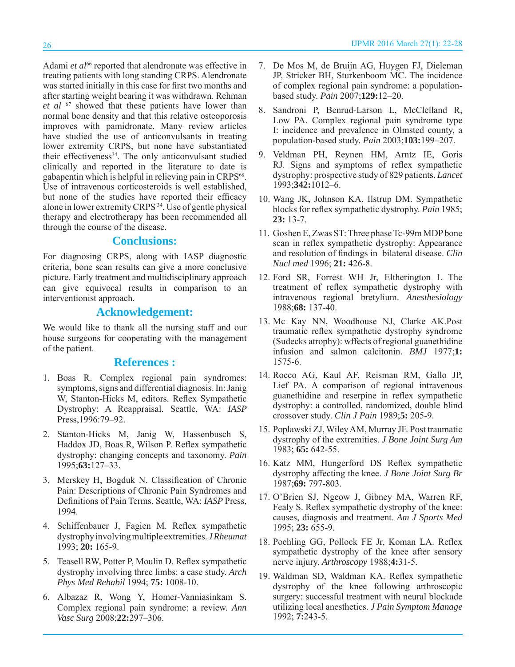Adami et al<sup>66</sup> reported that alendronate was effective in treating patients with long standing CRPS. Alendronate was started initially in this case for first two months and after starting weight bearing it was withdrawn. Rehman *et al* 67 showed that these patients have lower than normal bone density and that this relative osteoporosis improves with pamidronate. Many review articles have studied the use of anticonvulsants in treating lower extremity CRPS, but none have substantiated their effectiveness<sup>34</sup>. The only anticonvulsant studied clinically and reported in the literature to date is gabapentin which is helpful in relieving pain in CRPS<sup>68</sup>. Use of intravenous corticosteroids is well established, but none of the studies have reported their efficacy alone in lower extremity CRPS<sup>34</sup>. Use of gentle physical therapy and electrotherapy has been recommended all through the course of the disease.

# **Conclusions:**

For diagnosing CRPS, along with IASP diagnostic criteria, bone scan results can give a more conclusive picture. Early treatment and multidisciplinary approach can give equivocal results in comparison to an interventionist approach.

# **Acknowledgement:**

We would like to thank all the nursing staff and our house surgeons for cooperating with the management of the patient.

# **References :**

- 1. Boas R. Complex regional pain syndromes: symptoms, signs and differential diagnosis. In: Janig W, Stanton-Hicks M, editors. Reflex Sympathetic Dystrophy: A Reappraisal. Seattle, WA: *IASP*  Press,1996:79–92.
- 2. Stanton-Hicks M, Janig W, Hassenbusch S, Haddox JD, Boas R, Wilson P. Reflex sympathetic dystrophy: changing concepts and taxonomy. *Pain* 1995;**63:**127–33.
- 3. Merskey H, Bogduk N. Classification of Chronic Pain: Descriptions of Chronic Pain Syndromes and Definitions of Pain Terms. Seattle, WA: *IASP* Press, 1994.
- 4. Schiffenbauer J, Fagien M. Reflex sympathetic dystrophy involving multiple extremities. *J Rheumat*  1993; **20:** 165-9.
- 5. Teasell RW, Potter P, Moulin D. Reflex sympathetic dystrophy involving three limbs: a case study. *Arch Phys Med Rehabil* 1994; **75:** 1008-10.
- 6. Albazaz R, Wong Y, Homer-Vanniasinkam S. Complex regional pain syndrome: a review. *Ann Vasc Surg* 2008;**22:**297–306.
- 7. De Mos M, de Bruijn AG, Huygen FJ, Dieleman JP, Stricker BH, Sturkenboom MC. The incidence of complex regional pain syndrome: a populationbased study. *Pain* 2007;**129:**12–20.
- 8. Sandroni P, Benrud-Larson L, McClelland R, Low PA. Complex regional pain syndrome type I: incidence and prevalence in Olmsted county, a population-based study. *Pain* 2003;**103:**199–207.
- 9. Veldman PH, Reynen HM, Arntz IE, Goris RJ. Signs and symptoms of reflex sympathetic dystrophy: prospective study of 829 patients. *Lancet* 1993;**342:**1012–6.
- 10. Wang JK, Johnson KA, Ilstrup DM. Sympathetic blocks for reflex sympathetic dystrophy. *Pain* 1985; **23:** 13-7.
- 11. Goshen E, Zwas ST: Three phase Tc-99m MDP bone scan in reflex sympathetic dystrophy: Appearance and resolution of findings in bilateral disease. *Clin Nucl med* 1996; **21:** 426-8.
- 12. Ford SR, Forrest WH Jr, Eltherington L The treatment of reflex sympathetic dystrophy with intravenous regional bretylium. *Anesthesiology*  1988;**68:** 137-40.
- 13. Mc Kay NN, Woodhouse NJ, Clarke AK.Post traumatic reflex sympathetic dystrophy syndrome (Sudecks atrophy): wffects of regional guanethidine infusion and salmon calcitonin. *BMJ* 1977;**1:** 1575-6.
- 14. Rocco AG, Kaul AF, Reisman RM, Gallo JP, Lief PA. A comparison of regional intravenous guanethidine and reserpine in reflex sympathetic dystrophy: a controlled, randomized, double blind crossover study. *Clin J Pain* 1989;**5:** 205-9.
- 15. Poplawski ZJ, Wiley AM, Murray JF. Post traumatic dystrophy of the extremities. *J Bone Joint Surg Am* 1983; **65:** 642-55.
- 16. Katz MM, Hungerford DS Reflex sympathetic dystrophy affecting the knee. *J Bone Joint Surg Br*  1987;**69:** 797-803.
- 17. O'Brien SJ, Ngeow J, Gibney MA, Warren RF, Fealy S. Reflex sympathetic dystrophy of the knee: causes, diagnosis and treatment. *Am J Sports Med*  1995; **23:** 655-9.
- 18. Poehling GG, Pollock FE Jr, Koman LA. Reflex sympathetic dystrophy of the knee after sensory nerve injury. *Arthroscopy* 1988;**4:**31-5.
- 19. Waldman SD, Waldman KA. Reflex sympathetic dystrophy of the knee following arthroscopic surgery: successful treatment with neural blockade utilizing local anesthetics. *J Pain Symptom Manage*  1992; **7:**243-5.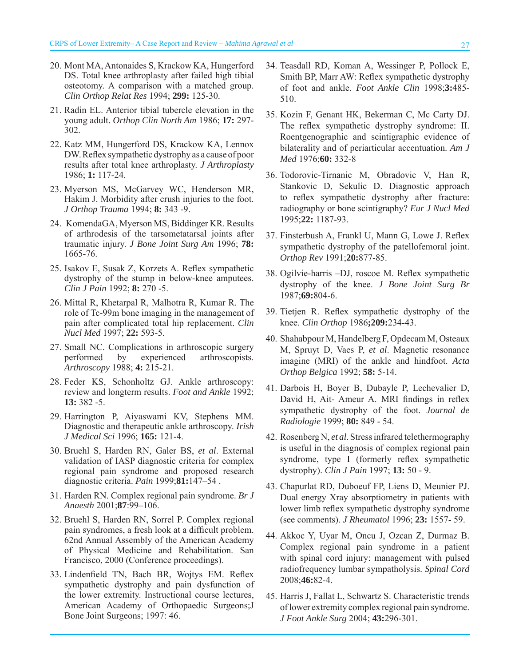- 20. Mont MA, Antonaides S, Krackow KA, Hungerford DS. Total knee arthroplasty after failed high tibial osteotomy. A comparison with a matched group. *Clin Orthop Relat Res* 1994; **299:** 125-30.
- 21. Radin EL. Anterior tibial tubercle elevation in the young adult. *Orthop Clin North Am* 1986; **17:** 297- 302.
- 22. Katz MM, Hungerford DS, Krackow KA, Lennox DW. Reflex sympathetic dystrophy as a cause of poor results after total knee arthroplasty. *J Arthroplasty*  1986; **1:** 117-24.
- 23. Myerson MS, McGarvey WC, Henderson MR, Hakim J. Morbidity after crush injuries to the foot. *J Orthop Trauma* 1994; **8:** 343 -9.
- 24. KomendaGA, Myerson MS, Biddinger KR. Results of arthrodesis of the tarsometatarsal joints after traumatic injury. *J Bone Joint Surg Am* 1996; **78:** 1665-76.
- 25. Isakov E, Susak Z, Korzets A. Reflex sympathetic dystrophy of the stump in below-knee amputees. *Clin J Pain* 1992; **8:** 270 -5.
- 26. Mittal R, Khetarpal R, Malhotra R, Kumar R. The role of Tc-99m bone imaging in the management of pain after complicated total hip replacement. *Clin Nucl Med* 1997; **22:** 593-5.
- 27. Small NC. Complications in arthroscopic surgery performed by experienced arthroscopists. *Arthroscopy* 1988; **4:** 215-21.
- 28. Feder KS, Schonholtz GJ. Ankle arthroscopy: review and longterm results. *Foot and Ankle* 1992; **13:** 382 -5.
- 29. Harrington P, Aiyaswami KV, Stephens MM. Diagnostic and therapeutic ankle arthroscopy. *Irish J Medical Sci* 1996; **165:** 121-4.
- 30. Bruehl S, Harden RN, Galer BS, *et al*. External validation of IASP diagnostic criteria for complex regional pain syndrome and proposed research diagnostic criteria. *Pain* 1999;**81:**147–54 .
- 31. Harden RN. Complex regional pain syndrome. *Br J Anaesth* 2001;**87**:99–106.
- 32. Bruehl S, Harden RN, Sorrel P. Complex regional pain syndromes, a fresh look at a difficult problem. 62nd Annual Assembly of the American Academy of Physical Medicine and Rehabilitation. San Francisco, 2000 (Conference proceedings).
- 33. Lindenfield TN, Bach BR, Wojtys EM. Reflex sympathetic dystrophy and pain dysfunction of the lower extremity. Instructional course lectures, American Academy of Orthopaedic Surgeons;J Bone Joint Surgeons; 1997: 46.
- 34. Teasdall RD, Koman A, Wessinger P, Pollock E, Smith BP, Marr AW: Reflex sympathetic dystrophy of foot and ankle. *Foot Ankle Clin* 1998;**3:**485- 510.
- 35. Kozin F, Genant HK, Bekerman C, Mc Carty DJ. The reflex sympathetic dystrophy syndrome: II. Roentgenographic and scintigraphic evidence of bilaterality and of periarticular accentuation. *Am J Med* 1976;**60:** 332-8
- 36. Todorovic-Tirnanic M, Obradovic V, Han R, Stankovic D, Sekulic D. Diagnostic approach to reflex sympathetic dystrophy after fracture: radiography or bone scintigraphy? *Eur J Nucl Med* 1995;**22:** 1187-93.
- 37. Finsterbush A, Frankl U, Mann G, Lowe J. Reflex sympathetic dystrophy of the patellofemoral joint. *Orthop Rev* 1991;**20:**877-85.
- 38. Ogilvie-harris -DJ, roscoe M. Reflex sympathetic dystrophy of the knee. *J Bone Joint Surg Br*  1987;**69:**804-6.
- 39. Tietjen R. Reflex sympathetic dystrophy of the knee. *Clin Orthop* 1986**;209:**234-43.
- 40. Shahabpour M, Handelberg F, Opdecam M, Osteaux M, Spruyt D, Vaes P, *et al*. Magnetic resonance imagine (MRI) of the ankle and hindfoot. *Acta Orthop Belgica* 1992; **58:** 5-14.
- 41. Darbois H, Boyer B, Dubayle P, Lechevalier D, David H, Ait- Ameur A. MRI findings in reflex sympathetic dystrophy of the foot. *Journal de Radiologie* 1999; **80:** 849 - 54.
- 42. Rosenberg N, *et al*. Stress infrared telethermography is useful in the diagnosis of complex regional pain syndrome, type I (formerly reflex sympathetic dystrophy). *Clin J Pain* 1997; **13:** 50 - 9.
- 43. Chapurlat RD, Duboeuf FP, Liens D, Meunier PJ. Dual energy Xray absorptiometry in patients with lower limb reflex sympathetic dystrophy syndrome (see comments). *J Rheumatol* 1996; **23:** 1557- 59.
- 44. Akkoc Y, Uyar M, Oncu J, Ozcan Z, Durmaz B. Complex regional pain syndrome in a patient with spinal cord injury: management with pulsed radiofrequency lumbar sympatholysis. *Spinal Cord*  2008;**46:**82-4.
- 45. Harris J, Fallat L, Schwartz S. Characteristic trends of lower extremity complex regional pain syndrome. *J Foot Ankle Surg* 2004; **43:**296-301.